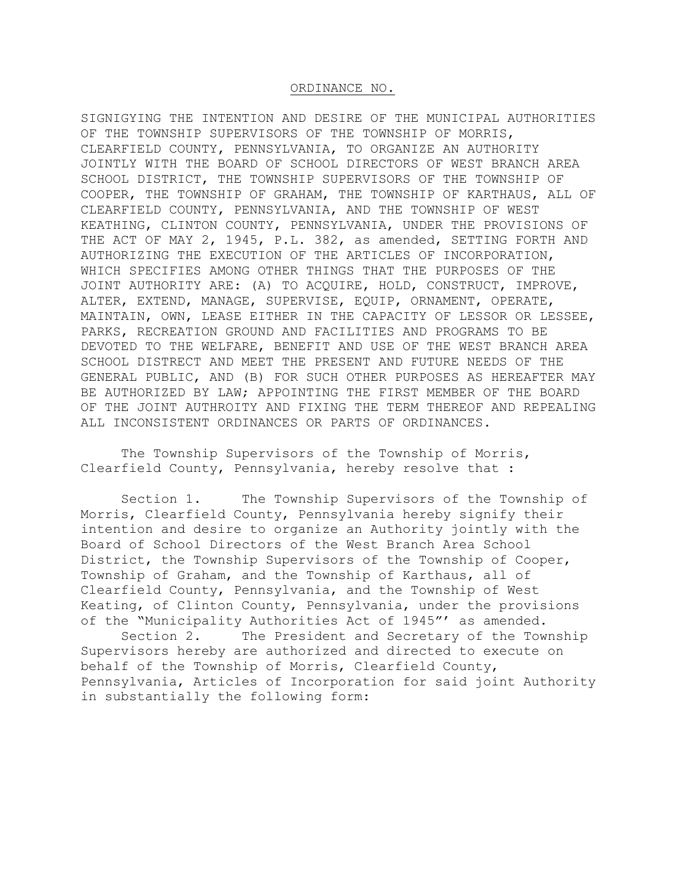### ORDINANCE NO.

SIGNIGYING THE INTENTION AND DESIRE OF THE MUNICIPAL AUTHORITIES OF THE TOWNSHIP SUPERVISORS OF THE TOWNSHIP OF MORRIS, CLEARFIELD COUNTY, PENNSYLVANIA, TO ORGANIZE AN AUTHORITY JOINTLY WITH THE BOARD OF SCHOOL DIRECTORS OF WEST BRANCH AREA SCHOOL DISTRICT, THE TOWNSHIP SUPERVISORS OF THE TOWNSHIP OF COOPER, THE TOWNSHIP OF GRAHAM, THE TOWNSHIP OF KARTHAUS, ALL OF CLEARFIELD COUNTY, PENNSYLVANIA, AND THE TOWNSHIP OF WEST KEATHING, CLINTON COUNTY, PENNSYLVANIA, UNDER THE PROVISIONS OF THE ACT OF MAY 2, 1945, P.L. 382, as amended, SETTING FORTH AND AUTHORIZING THE EXECUTION OF THE ARTICLES OF INCORPORATION, WHICH SPECIFIES AMONG OTHER THINGS THAT THE PURPOSES OF THE JOINT AUTHORITY ARE: (A) TO ACQUIRE, HOLD, CONSTRUCT, IMPROVE, ALTER, EXTEND, MANAGE, SUPERVISE, EQUIP, ORNAMENT, OPERATE, MAINTAIN, OWN, LEASE EITHER IN THE CAPACITY OF LESSOR OR LESSEE, PARKS, RECREATION GROUND AND FACILITIES AND PROGRAMS TO BE DEVOTED TO THE WELFARE, BENEFIT AND USE OF THE WEST BRANCH AREA SCHOOL DISTRECT AND MEET THE PRESENT AND FUTURE NEEDS OF THE GENERAL PUBLIC, AND (B) FOR SUCH OTHER PURPOSES AS HEREAFTER MAY BE AUTHORIZED BY LAW; APPOINTING THE FIRST MEMBER OF THE BOARD OF THE JOINT AUTHROITY AND FIXING THE TERM THEREOF AND REPEALING ALL INCONSISTENT ORDINANCES OR PARTS OF ORDINANCES.

 The Township Supervisors of the Township of Morris, Clearfield County, Pennsylvania, hereby resolve that :

 Section 1. The Township Supervisors of the Township of Morris, Clearfield County, Pennsylvania hereby signify their intention and desire to organize an Authority jointly with the Board of School Directors of the West Branch Area School District, the Township Supervisors of the Township of Cooper, Township of Graham, and the Township of Karthaus, all of Clearfield County, Pennsylvania, and the Township of West Keating, of Clinton County, Pennsylvania, under the provisions of the "Municipality Authorities Act of 1945"' as amended.

 Section 2. The President and Secretary of the Township Supervisors hereby are authorized and directed to execute on behalf of the Township of Morris, Clearfield County, Pennsylvania, Articles of Incorporation for said joint Authority in substantially the following form: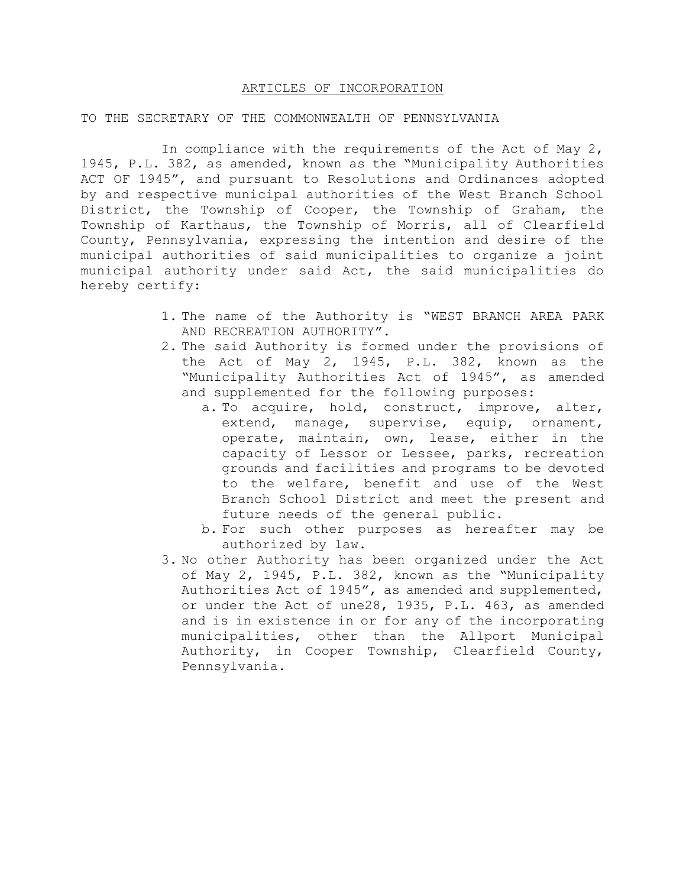## ARTICLES OF INCORPORATION

### TO THE SECRETARY OF THE COMMONWEALTH OF PENNSYLVANIA

 In compliance with the requirements of the Act of May 2, 1945, P.L. 382, as amended, known as the "Municipality Authorities ACT OF 1945", and pursuant to Resolutions and Ordinances adopted by and respective municipal authorities of the West Branch School District, the Township of Cooper, the Township of Graham, the Township of Karthaus, the Township of Morris, all of Clearfield County, Pennsylvania, expressing the intention and desire of the municipal authorities of said municipalities to organize a joint municipal authority under said Act, the said municipalities do hereby certify:

- 1. The name of the Authority is "WEST BRANCH AREA PARK AND RECREATION AUTHORITY".
- 2. The said Authority is formed under the provisions of the Act of May 2, 1945, P.L. 382, known as the "Municipality Authorities Act of 1945", as amended and supplemented for the following purposes:
	- a. To acquire, hold, construct, improve, alter, extend, manage, supervise, equip, ornament, operate, maintain, own, lease, either in the capacity of Lessor or Lessee, parks, recreation grounds and facilities and programs to be devoted to the welfare, benefit and use of the West Branch School District and meet the present and future needs of the general public.
	- b. For such other purposes as hereafter may be authorized by law.
- 3. No other Authority has been organized under the Act of May 2, 1945, P.L. 382, known as the "Municipality Authorities Act of 1945", as amended and supplemented, or under the Act of une28, 1935, P.L. 463, as amended and is in existence in or for any of the incorporating municipalities, other than the Allport Municipal Authority, in Cooper Township, Clearfield County, Pennsylvania.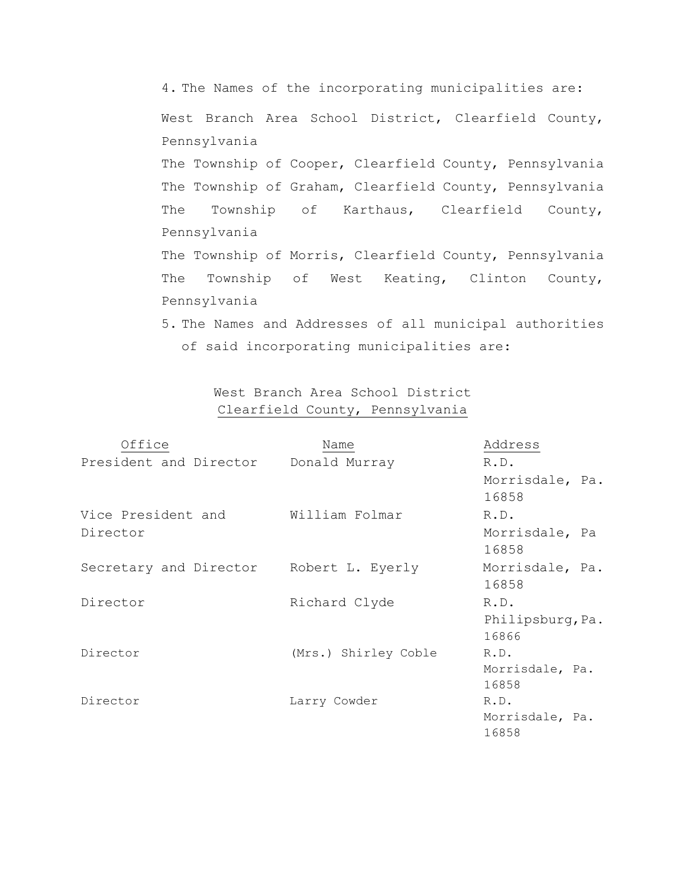4. The Names of the incorporating municipalities are: West Branch Area School District, Clearfield County, Pennsylvania The Township of Cooper, Clearfield County, Pennsylvania The Township of Graham, Clearfield County, Pennsylvania The Township of Karthaus, Clearfield County, Pennsylvania The Township of Morris, Clearfield County, Pennsylvania The Township of West Keating, Clinton County, Pennsylvania 5. The Names and Addresses of all municipal authorities

> West Branch Area School District Clearfield County, Pennsylvania

of said incorporating municipalities are:

| Office                                  | Name                 | Address          |
|-----------------------------------------|----------------------|------------------|
| President and Director                  | Donald Murray        | R.D.             |
|                                         |                      | Morrisdale, Pa.  |
|                                         |                      | 16858            |
| Vice President and                      | William Folmar       | R.D.             |
| Director                                |                      | Morrisdale, Pa   |
|                                         |                      | 16858            |
| Secretary and Director Robert L. Eyerly |                      | Morrisdale, Pa.  |
|                                         |                      | 16858            |
| Director                                | Richard Clyde        | R.D.             |
|                                         |                      | Philipsburg, Pa. |
|                                         |                      | 16866            |
| Director                                | (Mrs.) Shirley Coble | R.D.             |
|                                         |                      | Morrisdale, Pa.  |
|                                         |                      | 16858            |
| Director                                | Larry Cowder         | R.D.             |
|                                         |                      | Morrisdale, Pa.  |
|                                         |                      | 16858            |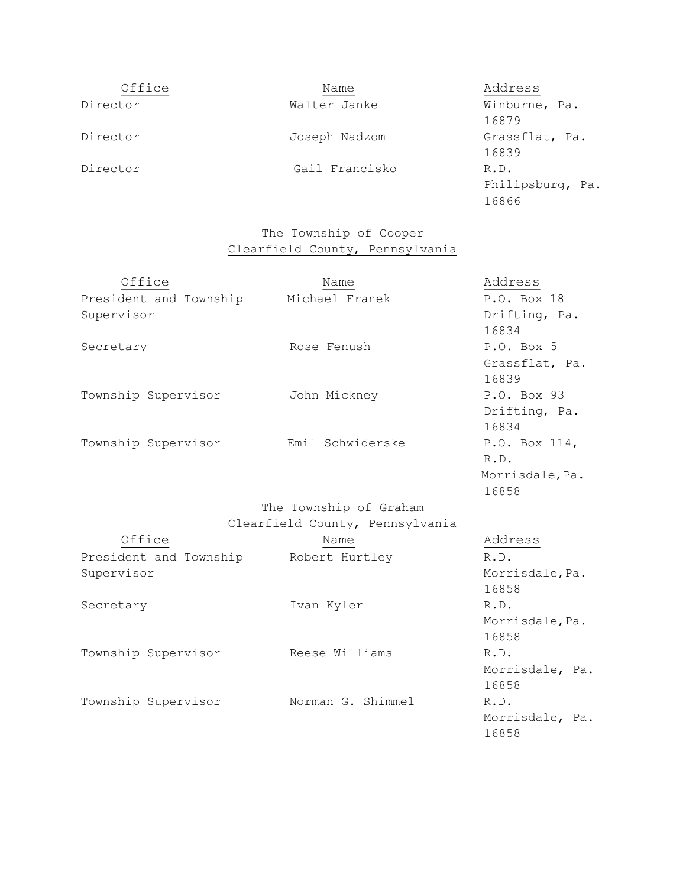| Office   | Name           | Address                           |
|----------|----------------|-----------------------------------|
| Director | Walter Janke   | Winburne, Pa.<br>16879            |
| Director | Joseph Nadzom  | Grassflat, Pa.<br>16839           |
| Director | Gail Francisko | R.D.<br>Philipsburg, Pa.<br>16866 |

# The Township of Cooper Clearfield County, Pennsylvania

| Office                 | Name                   | Address         |
|------------------------|------------------------|-----------------|
| President and Township | Michael Franek         | P.O. Box 18     |
| Supervisor             |                        | Drifting, Pa.   |
|                        |                        | 16834           |
| Secretary              | Rose Fenush            | P.O. Box 5      |
|                        |                        | Grassflat, Pa.  |
|                        |                        | 16839           |
| Township Supervisor    | John Mickney           | P.O. Box 93     |
|                        |                        | Drifting, Pa.   |
|                        |                        | 16834           |
| Township Supervisor    | Emil Schwiderske       | P.O. Box 114,   |
|                        |                        | R.D.            |
|                        |                        | Morrisdale, Pa. |
|                        |                        | 16858           |
|                        | The Township of Graham |                 |

# Clearfield County, Pennsylvania

| Office                 | Name              | Address         |  |
|------------------------|-------------------|-----------------|--|
| President and Township | Robert Hurtley    | R.D.            |  |
| Supervisor             |                   | Morrisdale, Pa. |  |
|                        |                   | 16858           |  |
| Secretary              | Ivan Kyler        | R.D.            |  |
|                        |                   | Morrisdale, Pa. |  |
|                        |                   | 16858           |  |
| Township Supervisor    | Reese Williams    | R.D.            |  |
|                        |                   | Morrisdale, Pa. |  |
|                        |                   | 16858           |  |
| Township Supervisor    | Norman G. Shimmel | R.D.            |  |
|                        |                   | Morrisdale, Pa. |  |
|                        |                   | 16858           |  |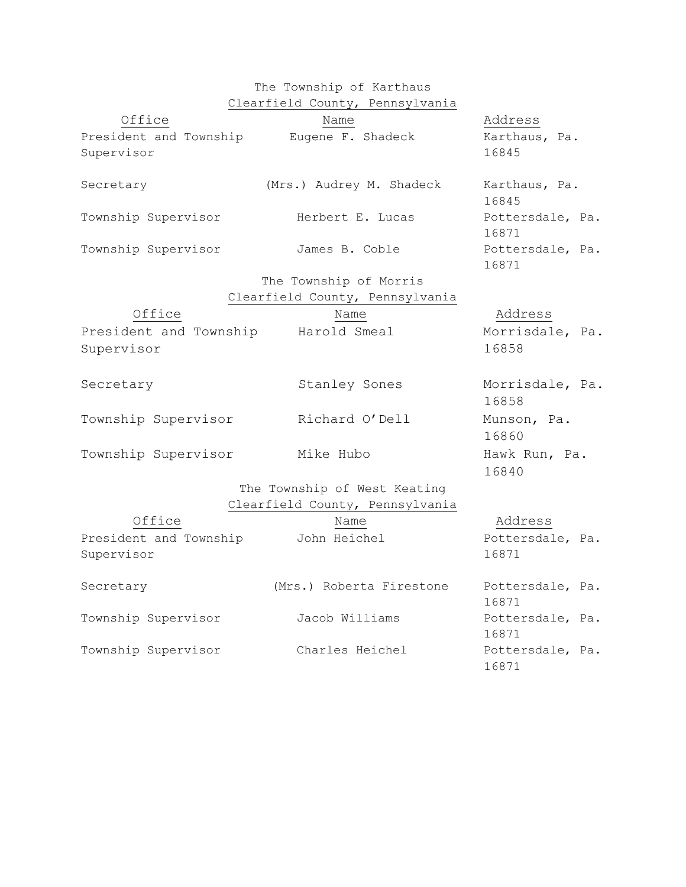|                                      | The Township of Karthaus        |                           |
|--------------------------------------|---------------------------------|---------------------------|
|                                      | Clearfield County, Pennsylvania |                           |
| Office                               | Name                            | Address                   |
| President and Township               | Eugene F. Shadeck               | Karthaus, Pa.             |
| Supervisor                           |                                 | 16845                     |
| Secretary                            | (Mrs.) Audrey M. Shadeck        | Karthaus, Pa.<br>16845    |
| Township Supervisor                  | Herbert E. Lucas                | Pottersdale, Pa.<br>16871 |
| Township Supervisor                  | James B. Coble                  | Pottersdale, Pa.<br>16871 |
|                                      | The Township of Morris          |                           |
|                                      | Clearfield County, Pennsylvania |                           |
| Office                               | Name                            | Address                   |
| President and Township               | Harold Smeal                    | Morrisdale, Pa.           |
| Supervisor                           |                                 | 16858                     |
| Secretary                            | Stanley Sones                   | Morrisdale, Pa.<br>16858  |
| Township Supervisor                  | Richard O'Dell                  | Munson, Pa.<br>16860      |
| Township Supervisor                  | Mike Hubo                       | Hawk Run, Pa.<br>16840    |
|                                      | The Township of West Keating    |                           |
|                                      | Clearfield County, Pennsylvania |                           |
| Office                               | Name                            | Address                   |
| President and Township<br>Supervisor | John Heichel                    | Pottersdale, Pa.<br>16871 |
| Secretary                            | (Mrs.) Roberta Firestone        | Pottersdale, Pa.<br>16871 |
| Township Supervisor                  | Jacob Williams                  | Pottersdale, Pa.<br>16871 |
| Township Supervisor                  | Charles Heichel                 | Pottersdale, Pa.          |

16871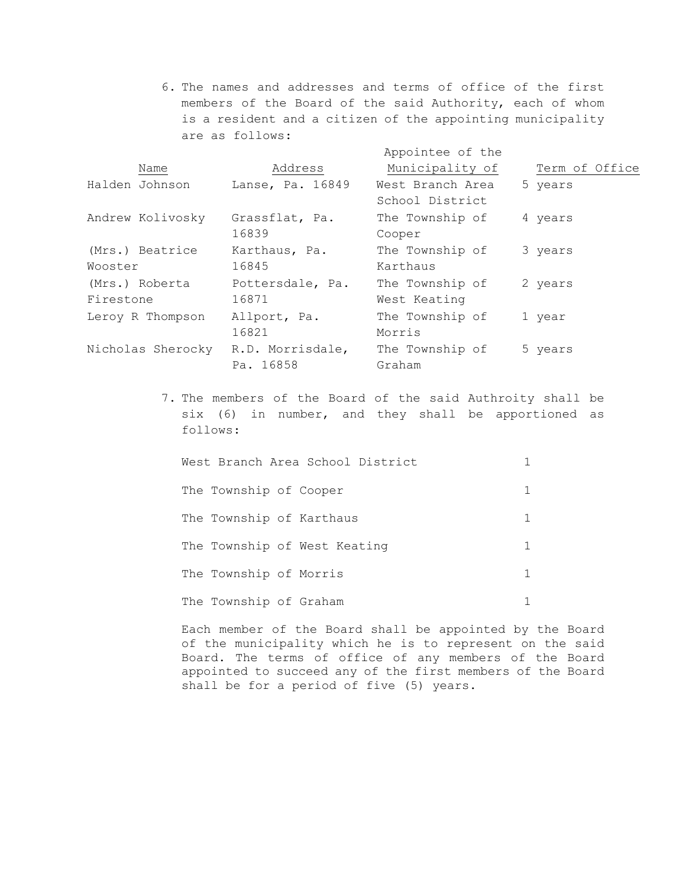6. The names and addresses and terms of office of the first members of the Board of the said Authority, each of whom is a resident and a citizen of the appointing municipality are as follows:

|                   |                  | Appointee of the |                |
|-------------------|------------------|------------------|----------------|
| Name              | Address          | Municipality of  | Term of Office |
| Halden Johnson    | Lanse, Pa. 16849 | West Branch Area | 5 years        |
|                   |                  | School District  |                |
| Andrew Kolivosky  | Grassflat, Pa.   | The Township of  | 4 years        |
|                   | 16839            | Cooper           |                |
| (Mrs.) Beatrice   | Karthaus, Pa.    | The Township of  | 3 years        |
| Wooster           | 16845            | Karthaus         |                |
| (Mrs.) Roberta    | Pottersdale, Pa. | The Township of  | 2 years        |
| Firestone         | 16871            | West Keating     |                |
| Leroy R Thompson  | Allport, Pa.     | The Township of  | 1 year         |
|                   | 16821            | Morris           |                |
| Nicholas Sherocky | R.D. Morrisdale, | The Township of  | 5 years        |
|                   | Pa. 16858        | Graham           |                |

7. The members of the Board of the said Authroity shall be six (6) in number, and they shall be apportioned as follows:

| West Branch Area School District |   |
|----------------------------------|---|
| The Township of Cooper           |   |
| The Township of Karthaus         |   |
| The Township of West Keating     | 1 |
| The Township of Morris           |   |
| The Township of Graham           |   |

Each member of the Board shall be appointed by the Board of the municipality which he is to represent on the said Board. The terms of office of any members of the Board appointed to succeed any of the first members of the Board shall be for a period of five (5) years.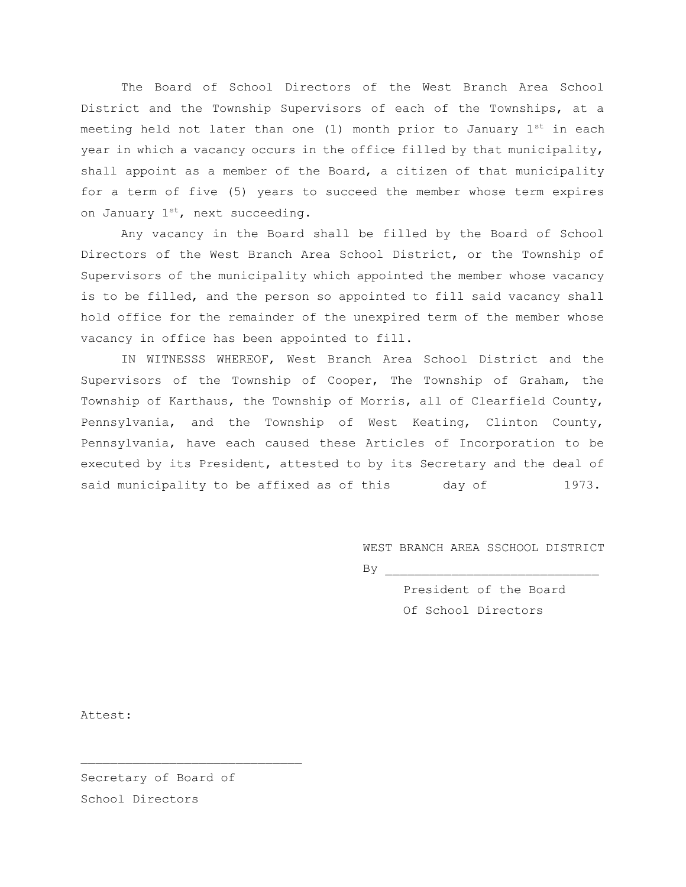The Board of School Directors of the West Branch Area School District and the Township Supervisors of each of the Townships, at a meeting held not later than one (1) month prior to January  $1^{st}$  in each year in which a vacancy occurs in the office filled by that municipality, shall appoint as a member of the Board, a citizen of that municipality for a term of five (5) years to succeed the member whose term expires on January  $1^{st}$ , next succeeding.

 Any vacancy in the Board shall be filled by the Board of School Directors of the West Branch Area School District, or the Township of Supervisors of the municipality which appointed the member whose vacancy is to be filled, and the person so appointed to fill said vacancy shall hold office for the remainder of the unexpired term of the member whose vacancy in office has been appointed to fill.

 IN WITNESSS WHEREOF, West Branch Area School District and the Supervisors of the Township of Cooper, The Township of Graham, the Township of Karthaus, the Township of Morris, all of Clearfield County, Pennsylvania, and the Township of West Keating, Clinton County, Pennsylvania, have each caused these Articles of Incorporation to be executed by its President, attested to by its Secretary and the deal of said municipality to be affixed as of this day of 1973.

WEST BRANCH AREA SSCHOOL DISTRICT

 $\mathop{\rm By}$ 

President of the Board Of School Directors

Attest:

Secretary of Board of School Directors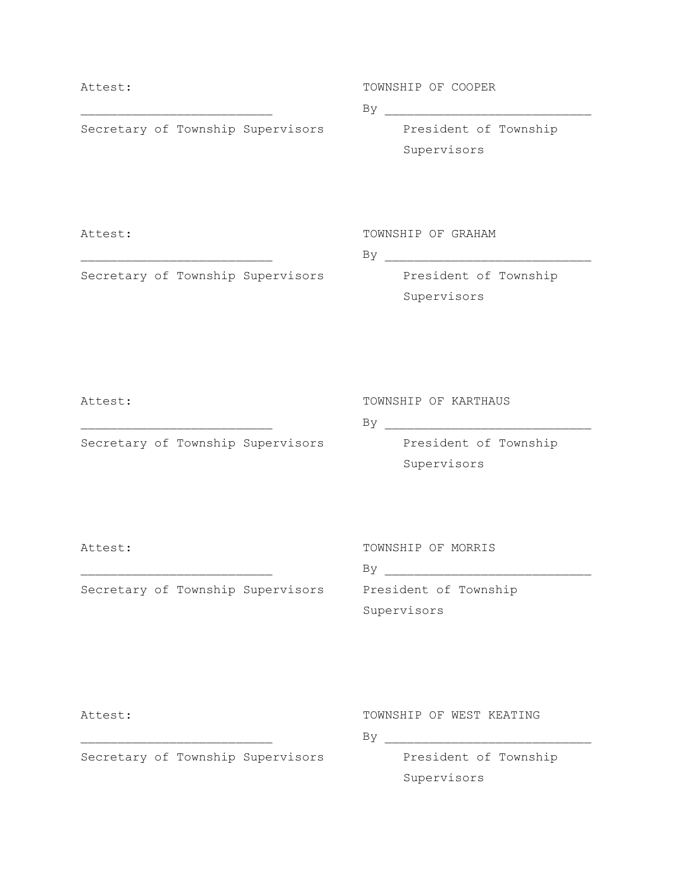# Attest: TOWNSHIP OF COOPER  $\quad \mathsf{By} \quad \quad \mathsf{By} \quad \quad \quad$ Secretary of Township Supervisors President of Township Supervisors Attest: TOWNSHIP OF GRAHAM \_\_\_\_\_\_\_\_\_\_\_\_\_\_\_\_\_\_\_\_\_\_\_\_\_\_ By \_\_\_\_\_\_\_\_\_\_\_\_\_\_\_\_\_\_\_\_\_\_\_\_\_\_\_\_ Secretary of Township Supervisors President of Township

Supervisors

Attest: TOWNSHIP OF KARTHAUS

 $\n \ \, \mathrm{By} \,\,\,\underline{\quad}\,$ 

Secretary of Township Supervisors President of Township Supervisors

Attest: TOWNSHIP OF MORRIS

|                                   | Вy                    |
|-----------------------------------|-----------------------|
| Secretary of Township Supervisors | President of Township |
|                                   | Supervisors           |

Attest: TOWNSHIP OF WEST KEATING

\_\_\_\_\_\_\_\_\_\_\_\_\_\_\_\_\_\_\_\_\_\_\_\_\_\_ By \_\_\_\_\_\_\_\_\_\_\_\_\_\_\_\_\_\_\_\_\_\_\_\_\_\_\_\_

Secretary of Township Supervisors President of Township

Supervisors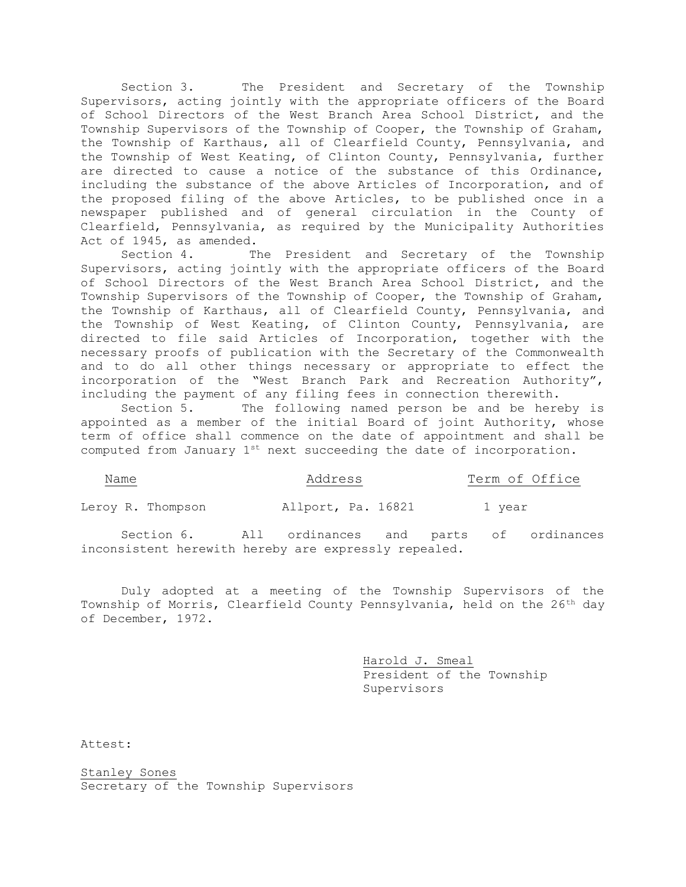Section 3. The President and Secretary of the Township Supervisors, acting jointly with the appropriate officers of the Board of School Directors of the West Branch Area School District, and the Township Supervisors of the Township of Cooper, the Township of Graham, the Township of Karthaus, all of Clearfield County, Pennsylvania, and the Township of West Keating, of Clinton County, Pennsylvania, further are directed to cause a notice of the substance of this Ordinance, including the substance of the above Articles of Incorporation, and of the proposed filing of the above Articles, to be published once in a newspaper published and of general circulation in the County of Clearfield, Pennsylvania, as required by the Municipality Authorities Act of 1945, as amended.

 Section 4. The President and Secretary of the Township Supervisors, acting jointly with the appropriate officers of the Board of School Directors of the West Branch Area School District, and the Township Supervisors of the Township of Cooper, the Township of Graham, the Township of Karthaus, all of Clearfield County, Pennsylvania, and the Township of West Keating, of Clinton County, Pennsylvania, are directed to file said Articles of Incorporation, together with the necessary proofs of publication with the Secretary of the Commonwealth and to do all other things necessary or appropriate to effect the incorporation of the "West Branch Park and Recreation Authority", including the payment of any filing fees in connection therewith.

 Section 5. The following named person be and be hereby is appointed as a member of the initial Board of joint Authority, whose term of office shall commence on the date of appointment and shall be computed from January  $1^{st}$  next succeeding the date of incorporation.

| Name              | Address            | Term of Office |
|-------------------|--------------------|----------------|
| Leroy R. Thompson | Allport, Pa. 16821 | 1 year         |

 Section 6. All ordinances and parts of ordinances inconsistent herewith hereby are expressly repealed.

 Duly adopted at a meeting of the Township Supervisors of the Township of Morris, Clearfield County Pennsylvania, held on the 26<sup>th</sup> day of December, 1972.

> Harold J. Smeal President of the Township Supervisors

Attest:

Stanley Sones Secretary of the Township Supervisors